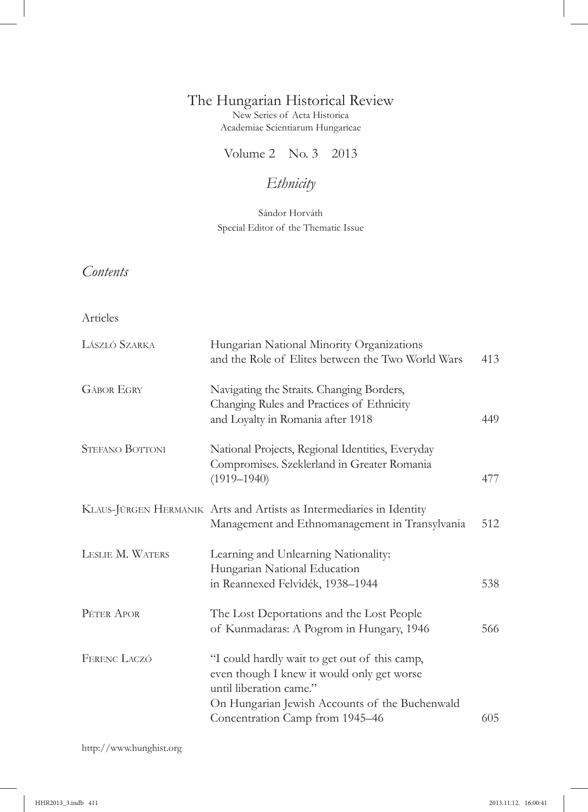## The Hungarian Historical Review

New Series of Acta Historica Academiae Scientiarum Hungaricae

Volume 2 No. 3 2013

# *Ethnicity*

Sándor Horváth Special Editor of the Thematic Issue

## *Contents*

#### Articles

| LÁSZLÓ SZARKA          | Hungarian National Minority Organizations<br>and the Role of Elites between the Two World Wars                                                                                                              | 413 |
|------------------------|-------------------------------------------------------------------------------------------------------------------------------------------------------------------------------------------------------------|-----|
| <b>GÁBOR EGRY</b>      | Navigating the Straits. Changing Borders,<br>Changing Rules and Practices of Ethnicity<br>and Loyalty in Romania after 1918                                                                                 | 449 |
| <b>STEFANO BOTTONI</b> | National Projects, Regional Identities, Everyday<br>Compromises. Szeklerland in Greater Romania<br>$(1919 - 1940)$                                                                                          | 477 |
|                        | KLAUS-JÜRGEN HERMANIK Arts and Artists as Intermediaries in Identity<br>Management and Ethnomanagement in Transylvania                                                                                      | 512 |
| LESLIE M. WATERS       | Learning and Unlearning Nationality:<br>Hungarian National Education<br>in Reannexed Felvidék, 1938-1944                                                                                                    | 538 |
| PÉTER APOR             | The Lost Deportations and the Lost People<br>of Kunmadaras: A Pogrom in Hungary, 1946                                                                                                                       | 566 |
| FERENC LACZÓ           | "I could hardly wait to get out of this camp,<br>even though I knew it would only get worse<br>until liberation came."<br>On Hungarian Jewish Accounts of the Buchenwald<br>Concentration Camp from 1945-46 | 605 |